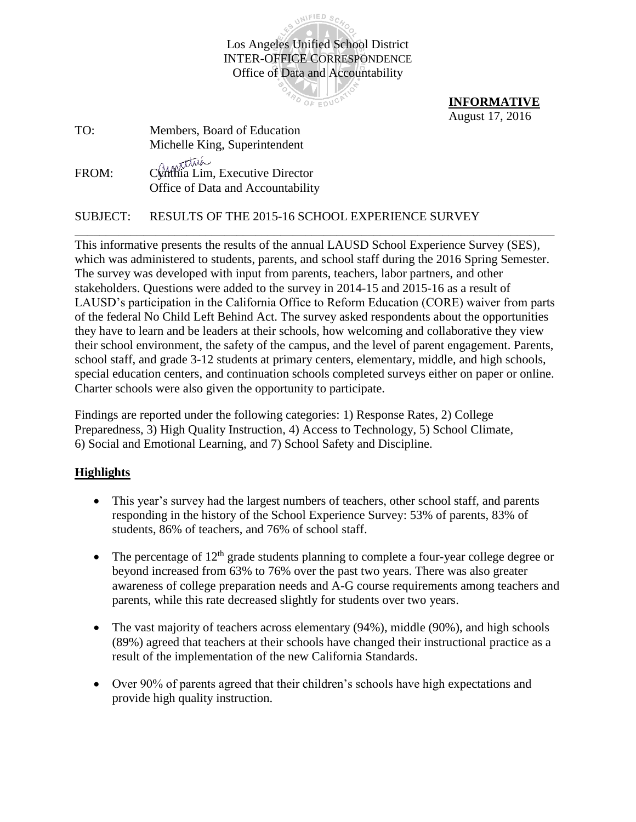

**INFORMATIVE**  August 17, 2016

| TO:   | Members, Board of Education                                                     |
|-------|---------------------------------------------------------------------------------|
|       | Michelle King, Superintendent                                                   |
| FROM: | Chantus<br>Chathia Lim, Executive Director<br>Office of Data and Accountability |

## SUBJECT: RESULTS OF THE 2015-16 SCHOOL EXPERIENCE SURVEY

This informative presents the results of the annual LAUSD School Experience Survey (SES), which was administered to students, parents, and school staff during the 2016 Spring Semester. The survey was developed with input from parents, teachers, labor partners, and other stakeholders. Questions were added to the survey in 2014-15 and 2015-16 as a result of LAUSD's participation in the California Office to Reform Education (CORE) waiver from parts of the federal No Child Left Behind Act. The survey asked respondents about the opportunities they have to learn and be leaders at their schools, how welcoming and collaborative they view their school environment, the safety of the campus, and the level of parent engagement. Parents, school staff, and grade 3-12 students at primary centers, elementary, middle, and high schools, special education centers, and continuation schools completed surveys either on paper or online. Charter schools were also given the opportunity to participate.

\_\_\_\_\_\_\_\_\_\_\_\_\_\_\_\_\_\_\_\_\_\_\_\_\_\_\_\_\_\_\_\_\_\_\_\_\_\_\_\_\_\_\_\_\_\_\_\_\_\_\_\_\_\_\_\_\_\_\_\_\_\_\_\_\_\_\_\_\_\_\_\_\_\_\_\_\_

Findings are reported under the following categories: 1) Response Rates, 2) College Preparedness, 3) High Quality Instruction, 4) Access to Technology, 5) School Climate, 6) Social and Emotional Learning, and 7) School Safety and Discipline.

## **Highlights**

- This year's survey had the largest numbers of teachers, other school staff, and parents responding in the history of the School Experience Survey: 53% of parents, 83% of students, 86% of teachers, and 76% of school staff.
- The percentage of  $12<sup>th</sup>$  grade students planning to complete a four-year college degree or beyond increased from 63% to 76% over the past two years. There was also greater awareness of college preparation needs and A-G course requirements among teachers and parents, while this rate decreased slightly for students over two years.
- The vast majority of teachers across elementary (94%), middle (90%), and high schools (89%) agreed that teachers at their schools have changed their instructional practice as a result of the implementation of the new California Standards.
- Over 90% of parents agreed that their children's schools have high expectations and provide high quality instruction.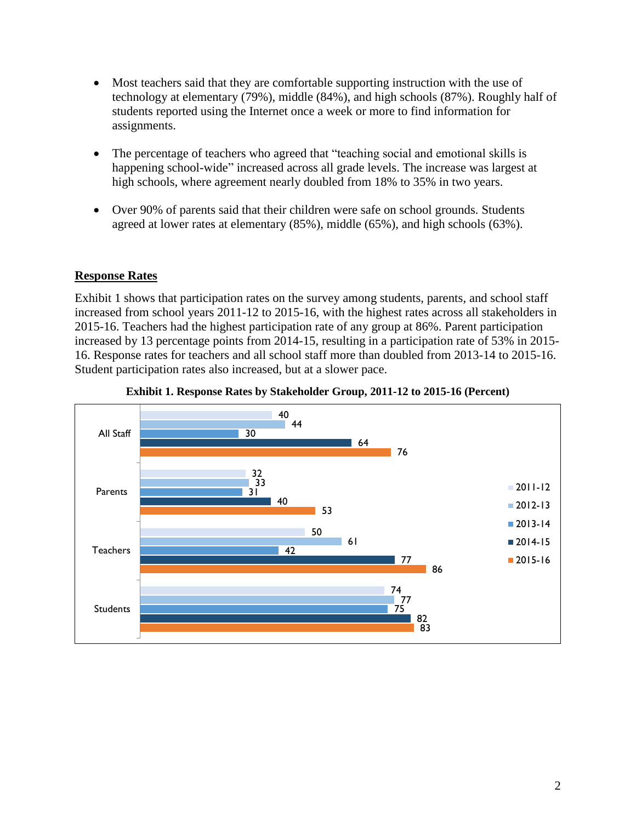- Most teachers said that they are comfortable supporting instruction with the use of technology at elementary (79%), middle (84%), and high schools (87%). Roughly half of students reported using the Internet once a week or more to find information for assignments.
- The percentage of teachers who agreed that "teaching social and emotional skills is happening school-wide" increased across all grade levels. The increase was largest at high schools, where agreement nearly doubled from 18% to 35% in two years.
- Over 90% of parents said that their children were safe on school grounds. Students agreed at lower rates at elementary (85%), middle (65%), and high schools (63%).

### **Response Rates**

Exhibit 1 shows that participation rates on the survey among students, parents, and school staff increased from school years 2011-12 to 2015-16, with the highest rates across all stakeholders in 2015-16. Teachers had the highest participation rate of any group at 86%. Parent participation increased by 13 percentage points from 2014-15, resulting in a participation rate of 53% in 2015- 16. Response rates for teachers and all school staff more than doubled from 2013-14 to 2015-16. Student participation rates also increased, but at a slower pace.



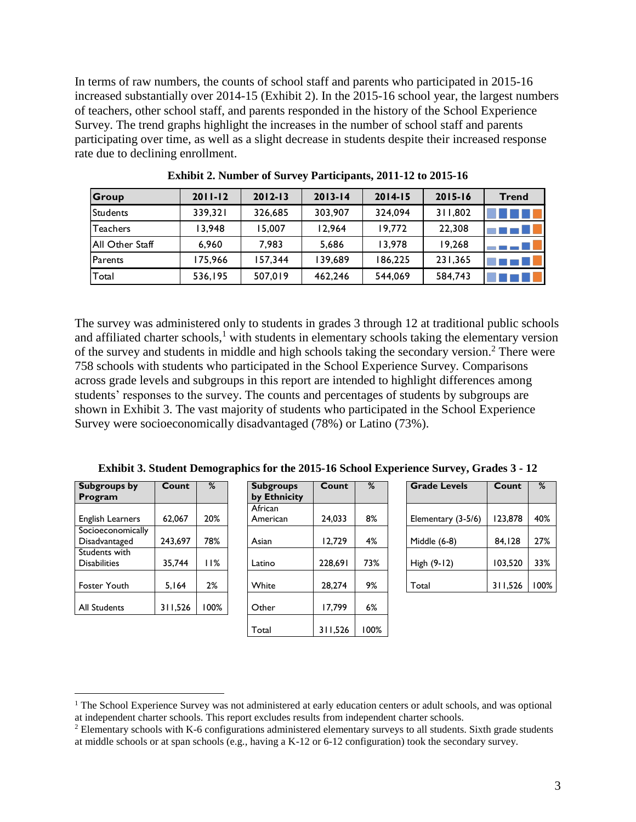In terms of raw numbers, the counts of school staff and parents who participated in 2015-16 increased substantially over 2014-15 (Exhibit 2). In the 2015-16 school year, the largest numbers of teachers, other school staff, and parents responded in the history of the School Experience Survey. The trend graphs highlight the increases in the number of school staff and parents participating over time, as well as a slight decrease in students despite their increased response rate due to declining enrollment.

| Group           | $2011 - 12$ | $2012 - 13$ | $2013 - 14$ | $2014 - 15$ | $2015 - 16$ | <b>Trend</b> |
|-----------------|-------------|-------------|-------------|-------------|-------------|--------------|
| <b>Students</b> | 339.321     | 326,685     | 303.907     | 324.094     | 311,802     |              |
| <b>Teachers</b> | 13.948      | 15,007      | 12,964      | 19,772      | 22,308      |              |
| All Other Staff | 6,960       | 7.983       | 5,686       | 13.978      | 19,268      |              |
| <b>Parents</b>  | 175,966     | 157,344     | 139,689     | 186.225     | 231,365     |              |
| Total           | 536,195     | 507,019     | 462,246     | 544,069     | 584,743     |              |

**Exhibit 2. Number of Survey Participants, 2011-12 to 2015-16**

The survey was administered only to students in grades 3 through 12 at traditional public schools and affiliated charter schools, $<sup>1</sup>$  with students in elementary schools taking the elementary version</sup> of the survey and students in middle and high schools taking the secondary version. <sup>2</sup> There were 758 schools with students who participated in the School Experience Survey. Comparisons across grade levels and subgroups in this report are intended to highlight differences among students' responses to the survey. The counts and percentages of students by subgroups are shown in [Exhibit 3.](#page-2-0) The vast majority of students who participated in the School Experience Survey were socioeconomically disadvantaged (78%) or Latino (73%).

| Subgroups by            | Count   | %    | <b>Subgroups</b> | Count   | %   |
|-------------------------|---------|------|------------------|---------|-----|
| Program                 |         |      | by Ethnicity     |         |     |
|                         |         |      | African          |         |     |
| <b>English Learners</b> | 62,067  | 20%  | American         | 24,033  | 8%  |
| Socioeconomically       |         |      |                  |         |     |
| Disadvantaged           | 243,697 | 78%  | Asian            | 12,729  | 4%  |
| Students with           |         |      |                  |         |     |
| <b>Disabilities</b>     | 35.744  | 11%  | Latino           | 228.691 | 73% |
|                         |         |      |                  |         |     |
| Foster Youth            | 5.164   | 2%   | White            | 28,274  | 9%  |
|                         |         |      |                  |         |     |
| <b>All Students</b>     | 311,526 | 100% | Other            | 17,799  | 6%  |
|                         |         |      |                  |         |     |

 $\overline{a}$ 

<span id="page-2-0"></span>

|                                      | <b>Exhibit 3. Student Demographics for the 2015-16 School Experience Survey, Grades 3 - 12</b> |      |                                  |         |      |                     |         |      |  |  |  |
|--------------------------------------|------------------------------------------------------------------------------------------------|------|----------------------------------|---------|------|---------------------|---------|------|--|--|--|
| Subgroups by<br>Program              | Count                                                                                          | %    | <b>Subgroups</b><br>by Ethnicity | Count   | %    | <b>Grade Levels</b> | Count   | %    |  |  |  |
| <b>English Learners</b>              | 62.067                                                                                         | 20%  | African<br>American              | 24.033  | 8%   | Elementary (3-5/6)  | 123.878 | 40%  |  |  |  |
| Socioeconomically<br>Disadvantaged   | 243.697                                                                                        | 78%  | Asian                            | 12.729  | 4%   | Middle (6-8)        | 84,128  | 27%  |  |  |  |
| Students with<br><b>Disabilities</b> | 35.744                                                                                         | 11%  | Latino                           | 228.691 | 73%  | High (9-12)         | 103.520 | 33%  |  |  |  |
| Foster Youth                         | 5,164                                                                                          | 2%   | White                            | 28.274  | 9%   | Total               | 311,526 | 100% |  |  |  |
| All Students                         | 311,526                                                                                        | 100% | Other                            | 17.799  | 6%   |                     |         |      |  |  |  |
|                                      |                                                                                                |      | Total                            | 311,526 | 100% |                     |         |      |  |  |  |

| Count   | %   | <b>Grade Levels</b> | %                                                |
|---------|-----|---------------------|--------------------------------------------------|
|         |     |                     |                                                  |
| 24,033  | 8%  | Elementary (3-5/6)  | 40%                                              |
| 12,729  | 4%  | Middle (6-8)        | 27%                                              |
| 228.691 | 73% | High (9-12)         | 33%                                              |
| 28,274  | 9%  | Total               | 100%                                             |
|         |     |                     | Count<br>123,878<br>84,128<br>103.520<br>311,526 |

 $<sup>1</sup>$  The School Experience Survey was not administered at early education centers or adult schools, and was optional</sup> at independent charter schools. This report excludes results from independent charter schools.

<sup>&</sup>lt;sup>2</sup> Elementary schools with K-6 configurations administered elementary surveys to all students. Sixth grade students at middle schools or at span schools (e.g., having a K-12 or 6-12 configuration) took the secondary survey.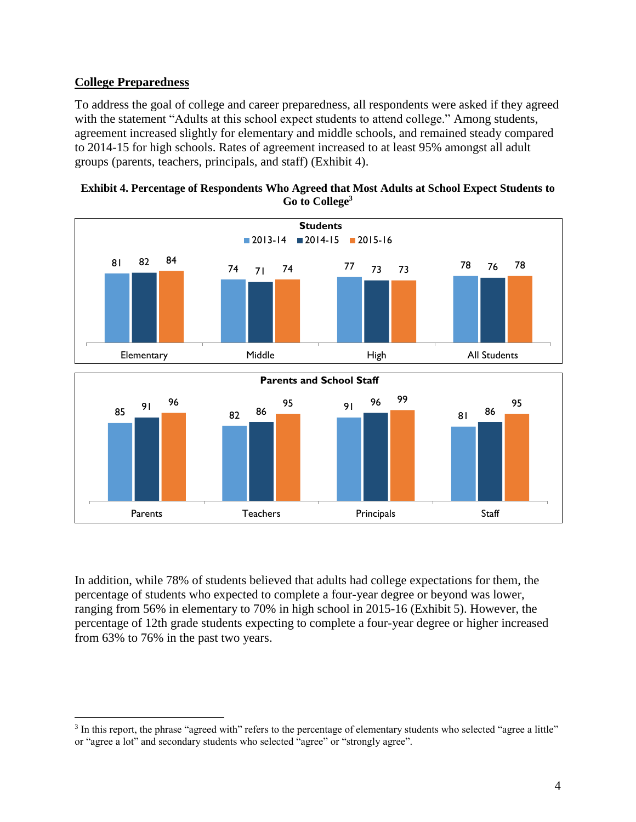## **College Preparedness**

 $\overline{a}$ 

To address the goal of college and career preparedness, all respondents were asked if they agreed with the statement "Adults at this school expect students to attend college." Among students, agreement increased slightly for elementary and middle schools, and remained steady compared to 2014-15 for high schools. Rates of agreement increased to at least 95% amongst all adult groups (parents, teachers, principals, and staff) [\(Exhibit 4\)](#page-3-0).

<span id="page-3-0"></span>



In addition, while 78% of students believed that adults had college expectations for them, the percentage of students who expected to complete a four-year degree or beyond was lower, ranging from 56% in elementary to 70% in high school in 2015-16 [\(Exhibit 5\)](#page-4-0). However, the percentage of 12th grade students expecting to complete a four-year degree or higher increased from 63% to 76% in the past two years.

<sup>&</sup>lt;sup>3</sup> In this report, the phrase "agreed with" refers to the percentage of elementary students who selected "agree a little" or "agree a lot" and secondary students who selected "agree" or "strongly agree".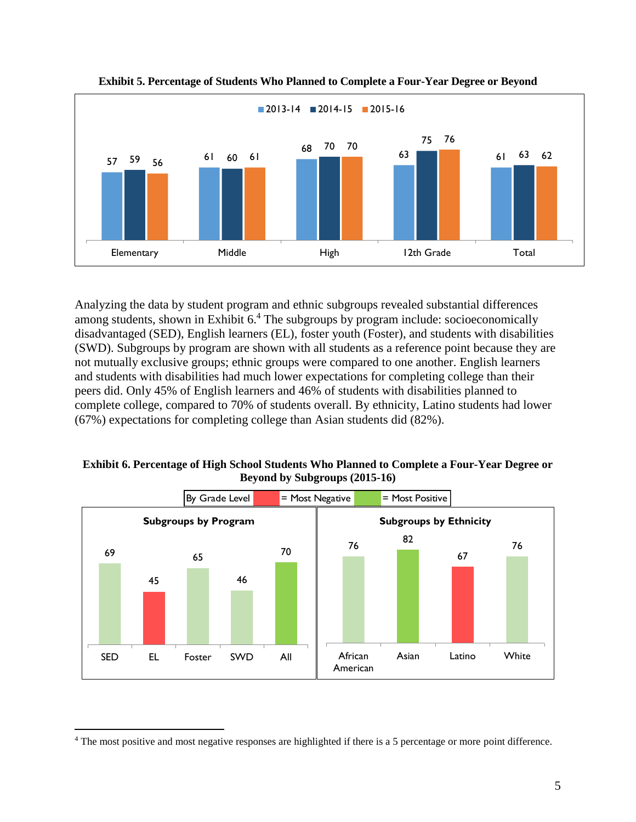<span id="page-4-0"></span>



Analyzing the data by student program and ethnic subgroups revealed substantial differences among students, shown in [Exhibit 6.](#page-4-1)<sup>4</sup> The subgroups by program include: socioeconomically disadvantaged (SED), English learners (EL), foster youth (Foster), and students with disabilities (SWD). Subgroups by program are shown with all students as a reference point because they are not mutually exclusive groups; ethnic groups were compared to one another. English learners and students with disabilities had much lower expectations for completing college than their peers did. Only 45% of English learners and 46% of students with disabilities planned to complete college, compared to 70% of students overall. By ethnicity, Latino students had lower (67%) expectations for completing college than Asian students did (82%).

<span id="page-4-1"></span>**Exhibit 6. Percentage of High School Students Who Planned to Complete a Four-Year Degree or Beyond by Subgroups (2015-16)**



 $\overline{a}$ 

<sup>&</sup>lt;sup>4</sup> The most positive and most negative responses are highlighted if there is a 5 percentage or more point difference.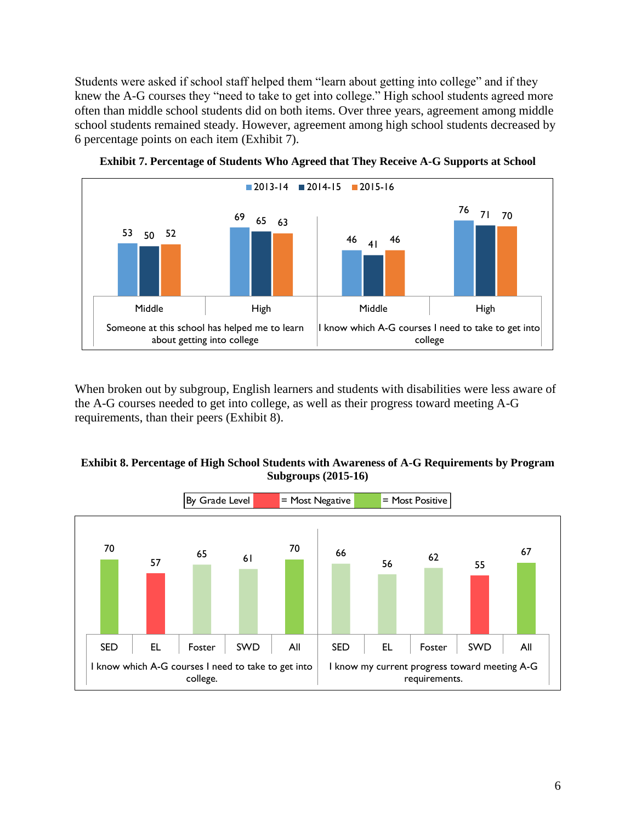Students were asked if school staff helped them "learn about getting into college" and if they knew the A-G courses they "need to take to get into college." High school students agreed more often than middle school students did on both items. Over three years, agreement among middle school students remained steady. However, agreement among high school students decreased by 6 percentage points on each item [\(Exhibit 7\)](#page-5-0).

<span id="page-5-0"></span>

**Exhibit 7. Percentage of Students Who Agreed that They Receive A-G Supports at School**

When broken out by subgroup, English learners and students with disabilities were less aware of the A-G courses needed to get into college, as well as their progress toward meeting A-G requirements, than their peers [\(Exhibit 8\)](#page-5-1).

#### <span id="page-5-1"></span>**Exhibit 8. Percentage of High School Students with Awareness of A-G Requirements by Program Subgroups (2015-16)**

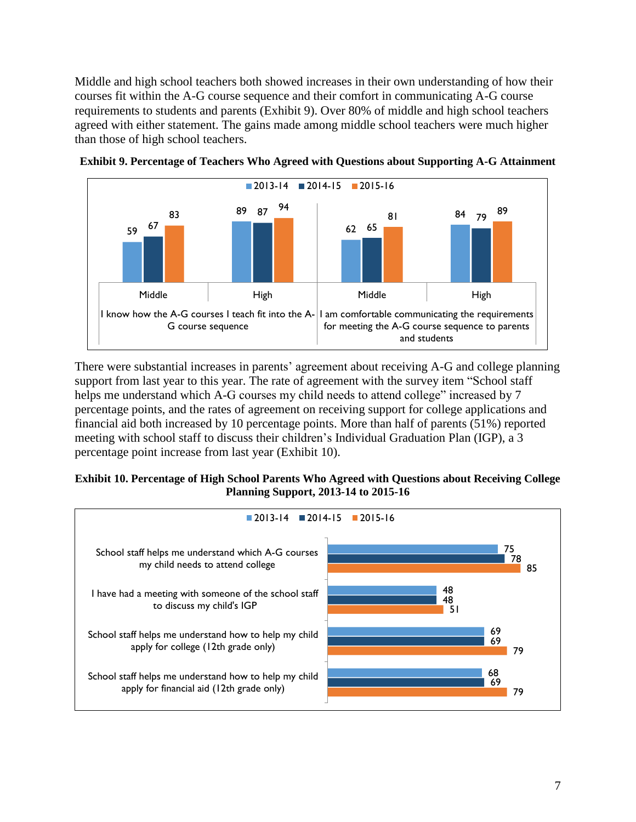Middle and high school teachers both showed increases in their own understanding of how their courses fit within the A-G course sequence and their comfort in communicating A-G course requirements to students and parents [\(Exhibit 9\)](#page-6-0). Over 80% of middle and high school teachers agreed with either statement. The gains made among middle school teachers were much higher than those of high school teachers.



<span id="page-6-0"></span>**Exhibit 9. Percentage of Teachers Who Agreed with Questions about Supporting A-G Attainment**

There were substantial increases in parents' agreement about receiving A-G and college planning support from last year to this year. The rate of agreement with the survey item "School staff helps me understand which A-G courses my child needs to attend college" increased by 7 percentage points, and the rates of agreement on receiving support for college applications and financial aid both increased by 10 percentage points. More than half of parents (51%) reported meeting with school staff to discuss their children's Individual Graduation Plan (IGP), a 3 percentage point increase from last year [\(Exhibit 10\)](#page-6-1).

#### <span id="page-6-1"></span>**Exhibit 10. Percentage of High School Parents Who Agreed with Questions about Receiving College Planning Support, 2013-14 to 2015-16**

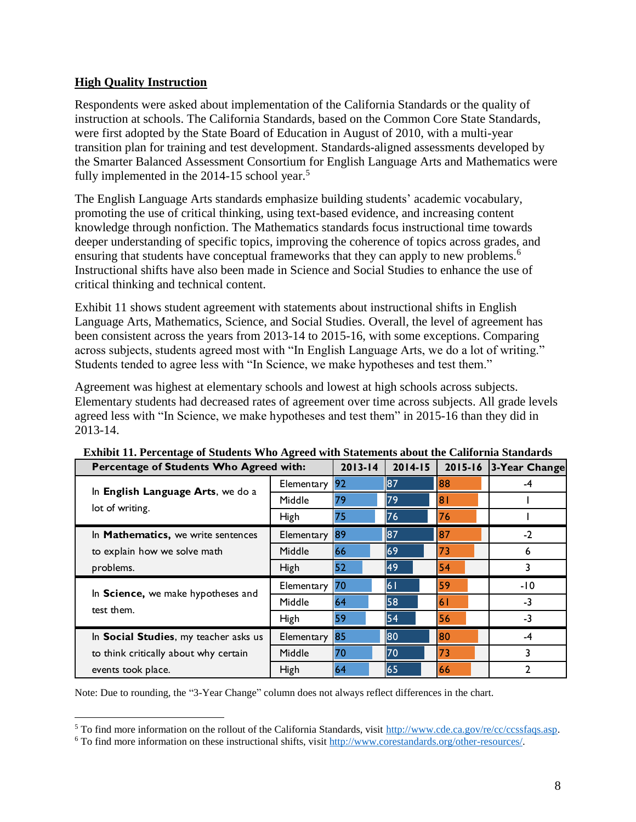## **High Quality Instruction**

 $\overline{a}$ 

Respondents were asked about implementation of the California Standards or the quality of instruction at schools. The California Standards, based on the Common Core State Standards, were first adopted by the State Board of Education in August of 2010, with a multi-year transition plan for training and test development. Standards-aligned assessments developed by the Smarter Balanced Assessment Consortium for English Language Arts and Mathematics were fully implemented in the  $2014-15$  school year.<sup>5</sup>

The English Language Arts standards emphasize building students' academic vocabulary, promoting the use of critical thinking, using text-based evidence, and increasing content knowledge through nonfiction. The Mathematics standards focus instructional time towards deeper understanding of specific topics, improving the coherence of topics across grades, and ensuring that students have conceptual frameworks that they can apply to new problems.<sup>6</sup> Instructional shifts have also been made in Science and Social Studies to enhance the use of critical thinking and technical content.

[Exhibit 11](#page-7-0) shows student agreement with statements about instructional shifts in English Language Arts, Mathematics, Science, and Social Studies. Overall, the level of agreement has been consistent across the years from 2013-14 to 2015-16, with some exceptions. Comparing across subjects, students agreed most with "In English Language Arts, we do a lot of writing." Students tended to agree less with "In Science, we make hypotheses and test them."

Agreement was highest at elementary schools and lowest at high schools across subjects. Elementary students had decreased rates of agreement over time across subjects. All grade levels agreed less with "In Science, we make hypotheses and test them" in 2015-16 than they did in 2013-14.

| <b>Exhibit 11. Percentage of Students Who Agreed with Statements about the California Standards</b> |             |             |             |                |               |  |  |  |  |
|-----------------------------------------------------------------------------------------------------|-------------|-------------|-------------|----------------|---------------|--|--|--|--|
| Percentage of Students Who Agreed with:                                                             |             | $2013 - 14$ | $2014 - 15$ | 2015-16        | 3-Year Change |  |  |  |  |
| In English Language Arts, we do a                                                                   | Elementary  | 92          | 87          | 88             | -4            |  |  |  |  |
|                                                                                                     | Middle      | 79          | 79          | 8 <sub>1</sub> |               |  |  |  |  |
| lot of writing.                                                                                     | High        | 75          | 76          | 76             |               |  |  |  |  |
| In Mathematics, we write sentences                                                                  | Elementary  | 89          | 87          | 87             | $-2$          |  |  |  |  |
| to explain how we solve math                                                                        | Middle      | 66          | 69          | 73             | 6             |  |  |  |  |
| problems.                                                                                           | <b>High</b> | 52          | 49          | 54             | 3             |  |  |  |  |
| In Science, we make hypotheses and                                                                  | Elementary  | 70          | 61          | 59             | -10           |  |  |  |  |
| test them.                                                                                          | Middle      | 64          | 58          | 6 <sup>1</sup> | $-3$          |  |  |  |  |
|                                                                                                     | <b>High</b> | 59          | 54          | 56             | $-3$          |  |  |  |  |
| In Social Studies, my teacher asks us                                                               | Elementary  | 85          | 80          | 80             | -4            |  |  |  |  |
| to think critically about why certain                                                               | Middle      | 70          | 70          | 73             | 3             |  |  |  |  |
| events took place.                                                                                  | <b>High</b> | 64          | 65          | 66             | 2             |  |  |  |  |
|                                                                                                     |             |             |             |                |               |  |  |  |  |

<span id="page-7-0"></span>**Exhibit 11. Percentage of Students Who Agreed with Statements about the California Standards**

Note: Due to rounding, the "3-Year Change" column does not always reflect differences in the chart.

<sup>5</sup> To find more information on the rollout of the California Standards, visit [http://www.cde.ca.gov/re/cc/ccssfaqs.asp.](http://www.cde.ca.gov/re/cc/ccssfaqs.asp)

<sup>6</sup> To find more information on these instructional shifts, visit [http://www.corestandards.org/other-resources/.](http://www.corestandards.org/other-resources/key-shifts-in-mathematics/)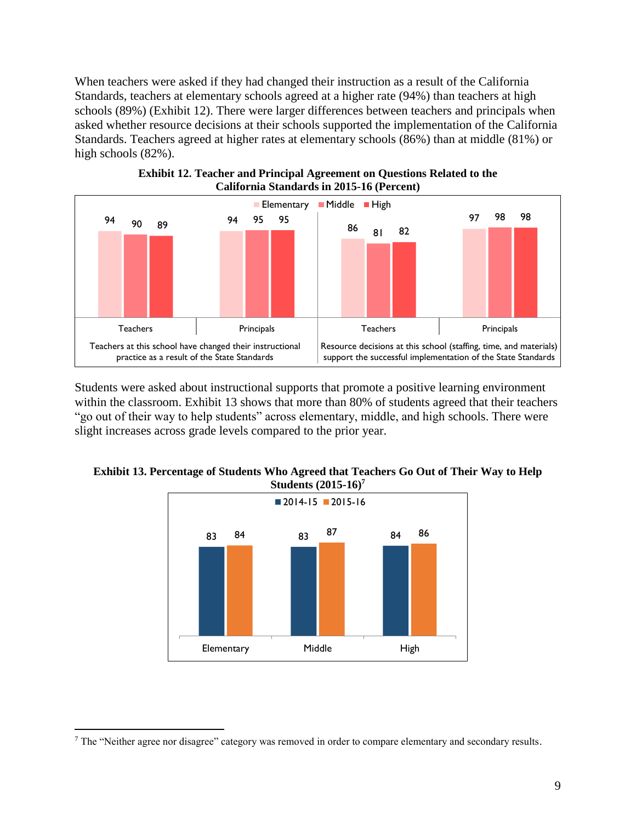When teachers were asked if they had changed their instruction as a result of the California Standards, teachers at elementary schools agreed at a higher rate (94%) than teachers at high schools (89%) (Exhibit 12). There were larger differences between teachers and principals when asked whether resource decisions at their schools supported the implementation of the California Standards. Teachers agreed at higher rates at elementary schools (86%) than at middle (81%) or high schools  $(82%)$ .



Students were asked about instructional supports that promote a positive learning environment within the classroom. [Exhibit 13](#page-8-0) shows that more than 80% of students agreed that their teachers "go out of their way to help students" across elementary, middle, and high schools. There were slight increases across grade levels compared to the prior year.

<span id="page-8-0"></span>



 $\overline{a}$ 

<sup>7</sup> The "Neither agree nor disagree" category was removed in order to compare elementary and secondary results.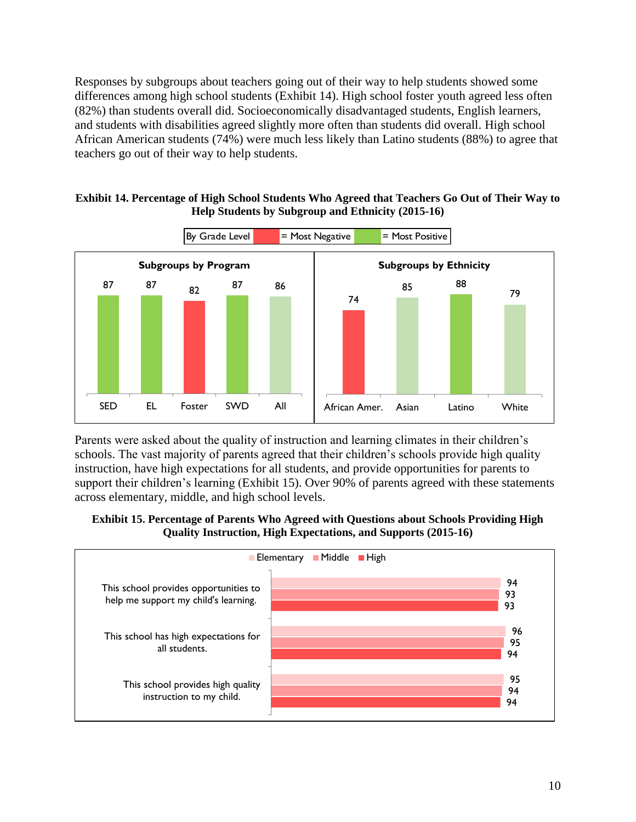Responses by subgroups about teachers going out of their way to help students showed some differences among high school students [\(Exhibit 14\)](#page-9-0). High school foster youth agreed less often (82%) than students overall did. Socioeconomically disadvantaged students, English learners, and students with disabilities agreed slightly more often than students did overall. High school African American students (74%) were much less likely than Latino students (88%) to agree that teachers go out of their way to help students.

<span id="page-9-0"></span>



Parents were asked about the quality of instruction and learning climates in their children's schools. The vast majority of parents agreed that their children's schools provide high quality instruction, have high expectations for all students, and provide opportunities for parents to support their children's learning [\(Exhibit 15\)](#page-9-1). Over 90% of parents agreed with these statements across elementary, middle, and high school levels.

<span id="page-9-1"></span>**Exhibit 15. Percentage of Parents Who Agreed with Questions about Schools Providing High Quality Instruction, High Expectations, and Supports (2015-16)**

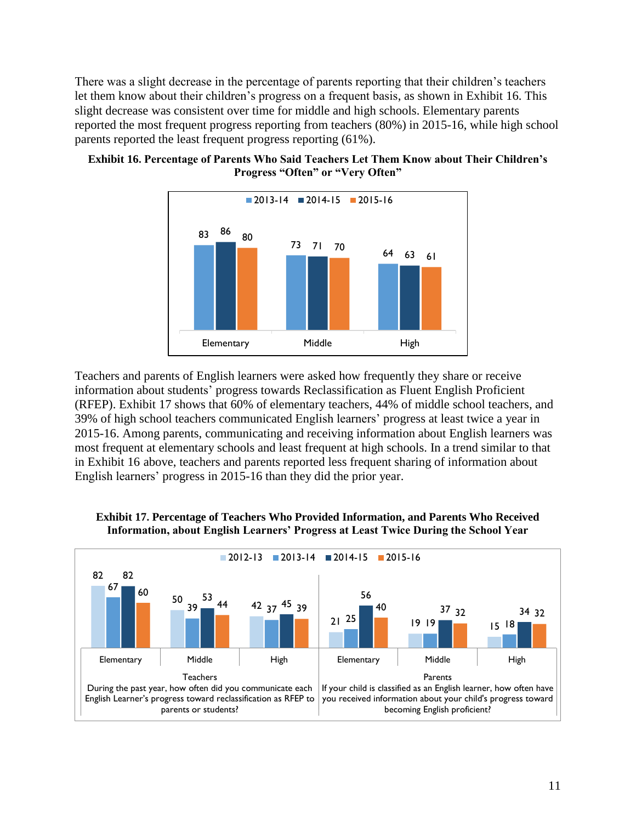There was a slight decrease in the percentage of parents reporting that their children's teachers let them know about their children's progress on a frequent basis, as shown in [Exhibit 16.](#page-10-0) This slight decrease was consistent over time for middle and high schools. Elementary parents reported the most frequent progress reporting from teachers (80%) in 2015-16, while high school parents reported the least frequent progress reporting (61%).



### <span id="page-10-0"></span>**Exhibit 16. Percentage of Parents Who Said Teachers Let Them Know about Their Children's Progress "Often" or "Very Often"**

Teachers and parents of English learners were asked how frequently they share or receive information about students' progress towards Reclassification as Fluent English Proficient (RFEP). [Exhibit 17](#page-10-1) shows that 60% of elementary teachers, 44% of middle school teachers, and 39% of high school teachers communicated English learners' progress at least twice a year in 2015-16. Among parents, communicating and receiving information about English learners was most frequent at elementary schools and least frequent at high schools. In a trend similar to that in [Exhibit 16](#page-10-0) above, teachers and parents reported less frequent sharing of information about English learners' progress in 2015-16 than they did the prior year.



#### <span id="page-10-1"></span>**Exhibit 17. Percentage of Teachers Who Provided Information, and Parents Who Received Information, about English Learners' Progress at Least Twice During the School Year**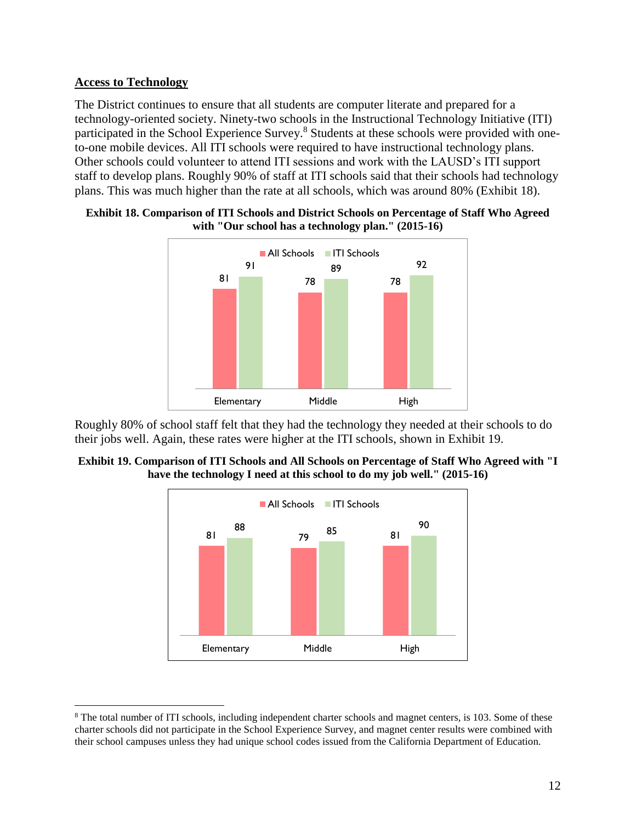## **Access to Technology**

 $\overline{a}$ 

The District continues to ensure that all students are computer literate and prepared for a technology-oriented society. Ninety-two schools in the Instructional Technology Initiative (ITI) participated in the School Experience Survey.<sup>8</sup> Students at these schools were provided with oneto-one mobile devices. All ITI schools were required to have instructional technology plans. Other schools could volunteer to attend ITI sessions and work with the LAUSD's ITI support staff to develop plans. Roughly 90% of staff at ITI schools said that their schools had technology plans. This was much higher than the rate at all schools, which was around 80% [\(Exhibit 18\)](#page-11-0).



#### <span id="page-11-0"></span>**Exhibit 18. Comparison of ITI Schools and District Schools on Percentage of Staff Who Agreed with "Our school has a technology plan." (2015-16)**

Roughly 80% of school staff felt that they had the technology they needed at their schools to do their jobs well. Again, these rates were higher at the ITI schools, shown in [Exhibit 19.](#page-11-1)

<span id="page-11-1"></span>



<sup>&</sup>lt;sup>8</sup> The total number of ITI schools, including independent charter schools and magnet centers, is 103. Some of these charter schools did not participate in the School Experience Survey, and magnet center results were combined with their school campuses unless they had unique school codes issued from the California Department of Education.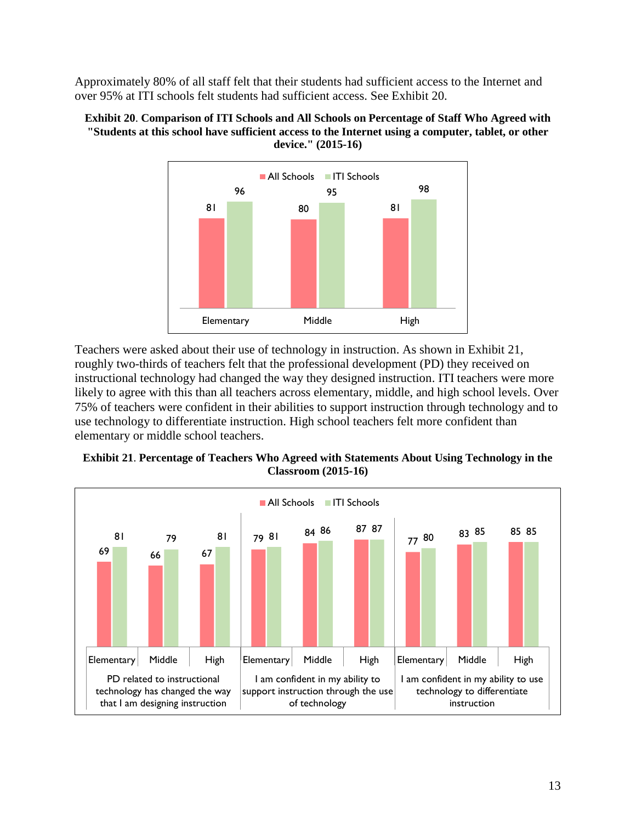Approximately 80% of all staff felt that their students had sufficient access to the Internet and over 95% at ITI schools felt students had sufficient access. See [Exhibit 20.](#page-12-0)

<span id="page-12-0"></span>



Teachers were asked about their use of technology in instruction. As shown in [Exhibit 21,](#page-12-1) roughly two-thirds of teachers felt that the professional development (PD) they received on instructional technology had changed the way they designed instruction. ITI teachers were more likely to agree with this than all teachers across elementary, middle, and high school levels. Over 75% of teachers were confident in their abilities to support instruction through technology and to use technology to differentiate instruction. High school teachers felt more confident than elementary or middle school teachers.

<span id="page-12-1"></span>

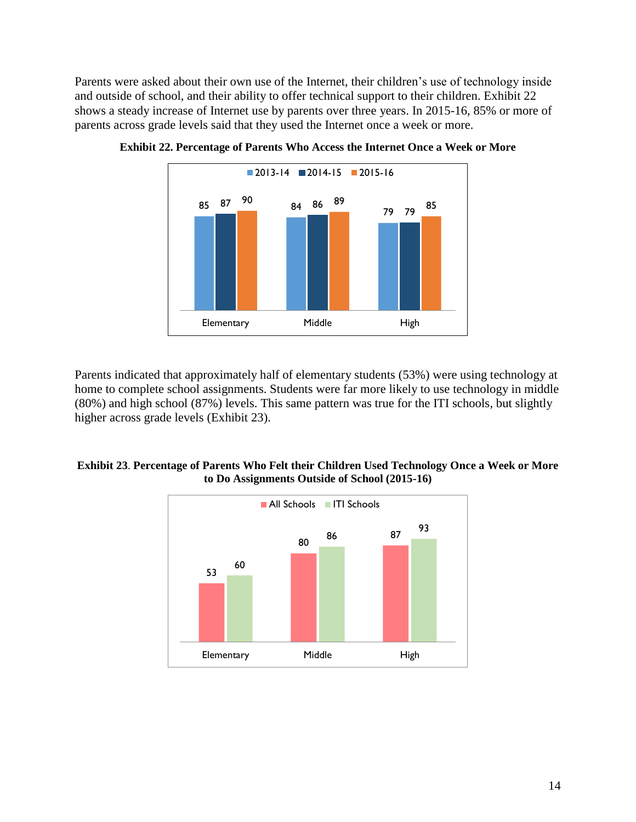Parents were asked about their own use of the Internet, their children's use of technology inside and outside of school, and their ability to offer technical support to their children. [Exhibit 22](#page-13-0) shows a steady increase of Internet use by parents over three years. In 2015-16, 85% or more of parents across grade levels said that they used the Internet once a week or more.



<span id="page-13-0"></span>**Exhibit 22. Percentage of Parents Who Access the Internet Once a Week or More**

Parents indicated that approximately half of elementary students (53%) were using technology at home to complete school assignments. Students were far more likely to use technology in middle (80%) and high school (87%) levels. This same pattern was true for the ITI schools, but slightly higher across grade levels [\(Exhibit 23\)](#page-13-1).

#### <span id="page-13-1"></span>**Exhibit 23**. **Percentage of Parents Who Felt their Children Used Technology Once a Week or More to Do Assignments Outside of School (2015-16)**

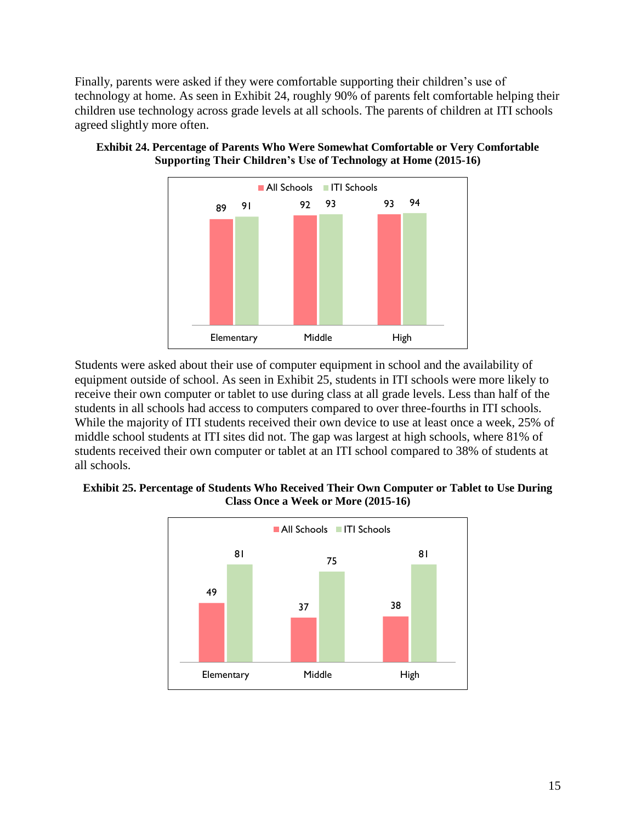Finally, parents were asked if they were comfortable supporting their children's use of technology at home. As seen in [Exhibit 24,](#page-14-0) roughly 90% of parents felt comfortable helping their children use technology across grade levels at all schools. The parents of children at ITI schools agreed slightly more often.



<span id="page-14-0"></span>

Students were asked about their use of computer equipment in school and the availability of equipment outside of school. As seen in [Exhibit 25,](#page-14-1) students in ITI schools were more likely to receive their own computer or tablet to use during class at all grade levels. Less than half of the students in all schools had access to computers compared to over three-fourths in ITI schools. While the majority of ITI students received their own device to use at least once a week, 25% of middle school students at ITI sites did not. The gap was largest at high schools, where 81% of students received their own computer or tablet at an ITI school compared to 38% of students at all schools.

#### <span id="page-14-1"></span>**Exhibit 25. Percentage of Students Who Received Their Own Computer or Tablet to Use During Class Once a Week or More (2015-16)**

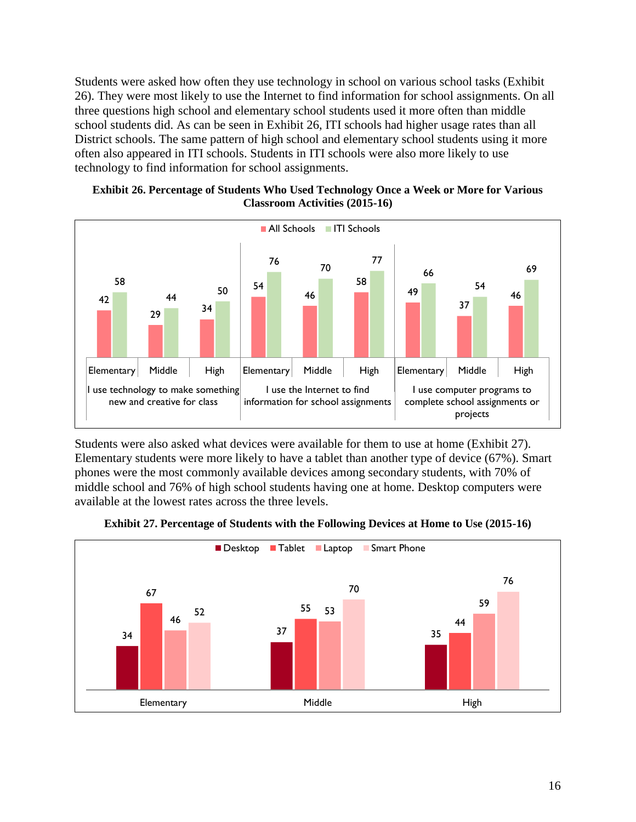Students were asked how often they use technology in school on various school tasks [\(Exhibit](#page-15-0)  [26\)](#page-15-0). They were most likely to use the Internet to find information for school assignments. On all three questions high school and elementary school students used it more often than middle school students did. As can be seen in [Exhibit 26,](#page-15-0) ITI schools had higher usage rates than all District schools. The same pattern of high school and elementary school students using it more often also appeared in ITI schools. Students in ITI schools were also more likely to use technology to find information for school assignments.

<span id="page-15-0"></span>



Students were also asked what devices were available for them to use at home [\(Exhibit 27\)](#page-15-1). Elementary students were more likely to have a tablet than another type of device (67%). Smart phones were the most commonly available devices among secondary students, with 70% of middle school and 76% of high school students having one at home. Desktop computers were available at the lowest rates across the three levels.

<span id="page-15-1"></span>

Elementary Middle Middle High

**Exhibit 27. Percentage of Students with the Following Devices at Home to Use (2015-16)**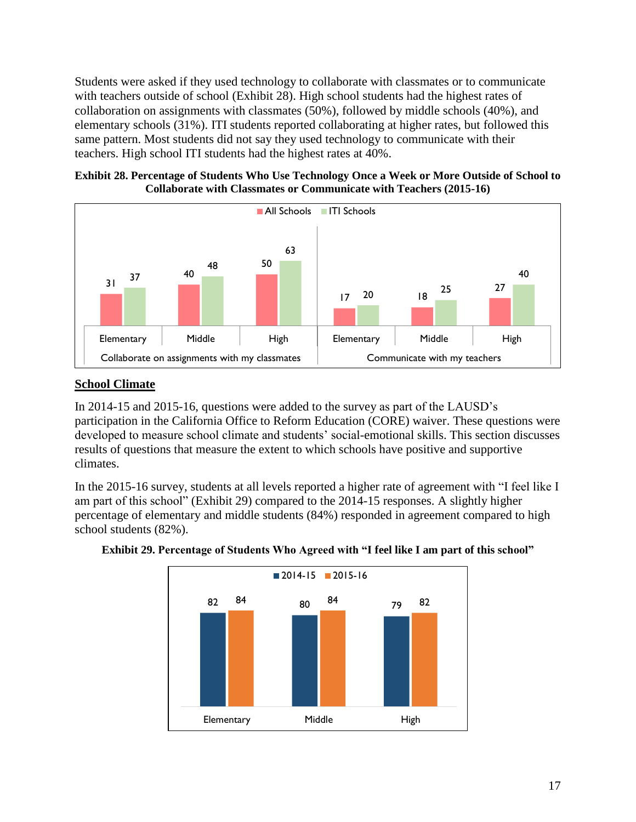Students were asked if they used technology to collaborate with classmates or to communicate with teachers outside of school [\(Exhibit 28\)](#page-16-0). High school students had the highest rates of collaboration on assignments with classmates (50%), followed by middle schools (40%), and elementary schools (31%). ITI students reported collaborating at higher rates, but followed this same pattern. Most students did not say they used technology to communicate with their teachers. High school ITI students had the highest rates at 40%.

<span id="page-16-0"></span>



## **School Climate**

In 2014-15 and 2015-16, questions were added to the survey as part of the LAUSD's participation in the California Office to Reform Education (CORE) waiver. These questions were developed to measure school climate and students' social-emotional skills. This section discusses results of questions that measure the extent to which schools have positive and supportive climates.

In the 2015-16 survey, students at all levels reported a higher rate of agreement with "I feel like I am part of this school" [\(Exhibit 29\)](#page-16-1) compared to the 2014-15 responses. A slightly higher percentage of elementary and middle students (84%) responded in agreement compared to high school students (82%).



### <span id="page-16-1"></span>**Exhibit 29. Percentage of Students Who Agreed with "I feel like I am part of this school"**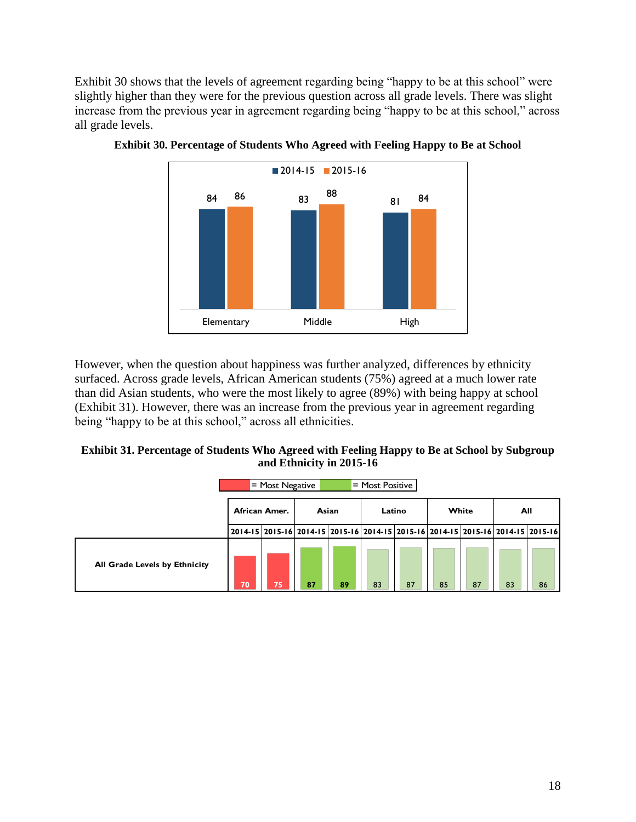[Exhibit 30](#page-17-0) shows that the levels of agreement regarding being "happy to be at this school" were slightly higher than they were for the previous question across all grade levels. There was slight increase from the previous year in agreement regarding being "happy to be at this school," across all grade levels.



<span id="page-17-0"></span>

However, when the question about happiness was further analyzed, differences by ethnicity surfaced. Across grade levels, African American students (75%) agreed at a much lower rate than did Asian students, who were the most likely to agree (89%) with being happy at school [\(Exhibit 31\)](#page-17-1). However, there was an increase from the previous year in agreement regarding being "happy to be at this school," across all ethnicities.

#### <span id="page-17-1"></span>**Exhibit 31. Percentage of Students Who Agreed with Feeling Happy to Be at School by Subgroup and Ethnicity in 2015-16**

|                               |    | $=$ Most Negative |    |       | = Most Positive                                                                 |        |    |       |    |     |
|-------------------------------|----|-------------------|----|-------|---------------------------------------------------------------------------------|--------|----|-------|----|-----|
|                               |    | African Amer.     |    | Asian |                                                                                 | Latino |    | White |    | All |
|                               |    |                   |    |       | 2014-15 2015-16 2014-15 2015-16 2014-15 2015-16 2014-15 2015-16 2014-15 2015-16 |        |    |       |    |     |
| All Grade Levels by Ethnicity | 70 | 75                | 87 | 89    | 83                                                                              | 87     | 85 | 87    | 83 | 86  |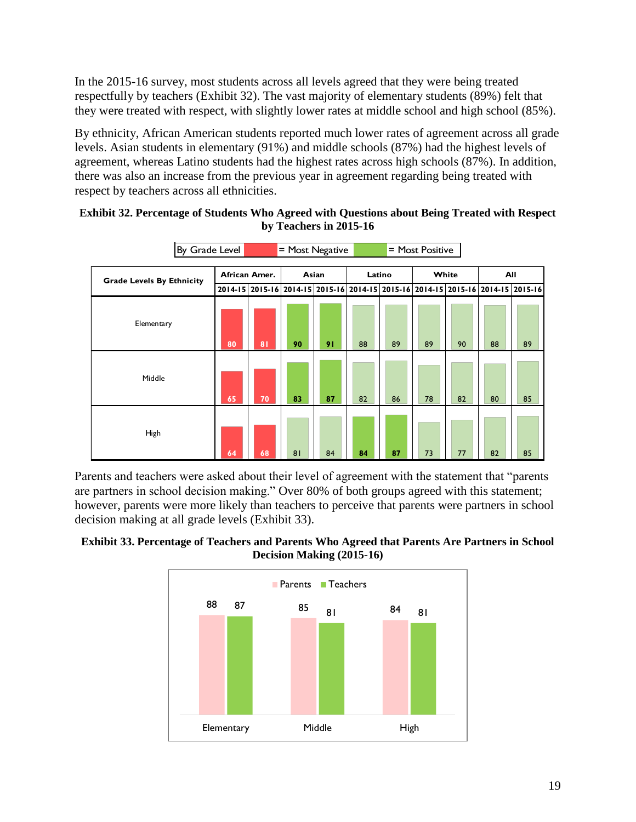In the 2015-16 survey, most students across all levels agreed that they were being treated respectfully by teachers [\(Exhibit 32\)](#page-18-0). The vast majority of elementary students (89%) felt that they were treated with respect, with slightly lower rates at middle school and high school (85%).

By ethnicity, African American students reported much lower rates of agreement across all grade levels. Asian students in elementary (91%) and middle schools (87%) had the highest levels of agreement, whereas Latino students had the highest rates across high schools (87%). In addition, there was also an increase from the previous year in agreement regarding being treated with respect by teachers across all ethnicities.

| By Grade Level                   |    | = Most Negative                                                                 |    |       |    | = Most Positive |    |       |    |     |  |
|----------------------------------|----|---------------------------------------------------------------------------------|----|-------|----|-----------------|----|-------|----|-----|--|
| <b>Grade Levels By Ethnicity</b> |    | African Amer.                                                                   |    | Asian |    | Latino          |    | White |    | All |  |
|                                  |    | 2014-15 2015-16 2014-15 2015-16 2014-15 2015-16 2014-15 2015-16 2014-15 2015-16 |    |       |    |                 |    |       |    |     |  |
| Elementary                       | 80 | 8 <sub>1</sub>                                                                  | 90 | 91    | 88 | 89              | 89 | 90    | 88 | 89  |  |
| Middle                           | 65 | 70                                                                              | 83 | 87    | 82 | 86              | 78 | 82    | 80 | 85  |  |
| High                             | 64 | 68                                                                              | 81 | 84    | 84 | 87              | 73 | 77    | 82 | 85  |  |

### <span id="page-18-0"></span>**Exhibit 32. Percentage of Students Who Agreed with Questions about Being Treated with Respect by Teachers in 2015-16**

Parents and teachers were asked about their level of agreement with the statement that "parents are partners in school decision making." Over 80% of both groups agreed with this statement; however, parents were more likely than teachers to perceive that parents were partners in school decision making at all grade levels [\(Exhibit 33\)](#page-18-1).

<span id="page-18-1"></span>**Exhibit 33. Percentage of Teachers and Parents Who Agreed that Parents Are Partners in School Decision Making (2015-16)**

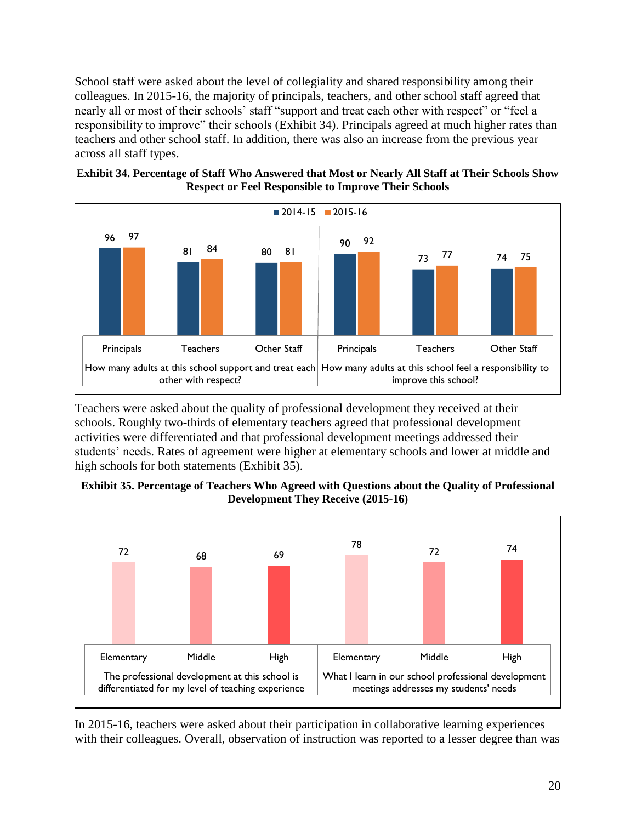School staff were asked about the level of collegiality and shared responsibility among their colleagues. In 2015-16, the majority of principals, teachers, and other school staff agreed that nearly all or most of their schools' staff "support and treat each other with respect" or "feel a responsibility to improve" their schools [\(Exhibit 34\)](#page-19-0). Principals agreed at much higher rates than teachers and other school staff. In addition, there was also an increase from the previous year across all staff types.

<span id="page-19-0"></span>



Teachers were asked about the quality of professional development they received at their schools. Roughly two-thirds of elementary teachers agreed that professional development activities were differentiated and that professional development meetings addressed their students' needs. Rates of agreement were higher at elementary schools and lower at middle and high schools for both statements [\(Exhibit 35\)](#page-19-1).

<span id="page-19-1"></span>



In 2015-16, teachers were asked about their participation in collaborative learning experiences with their colleagues. Overall, observation of instruction was reported to a lesser degree than was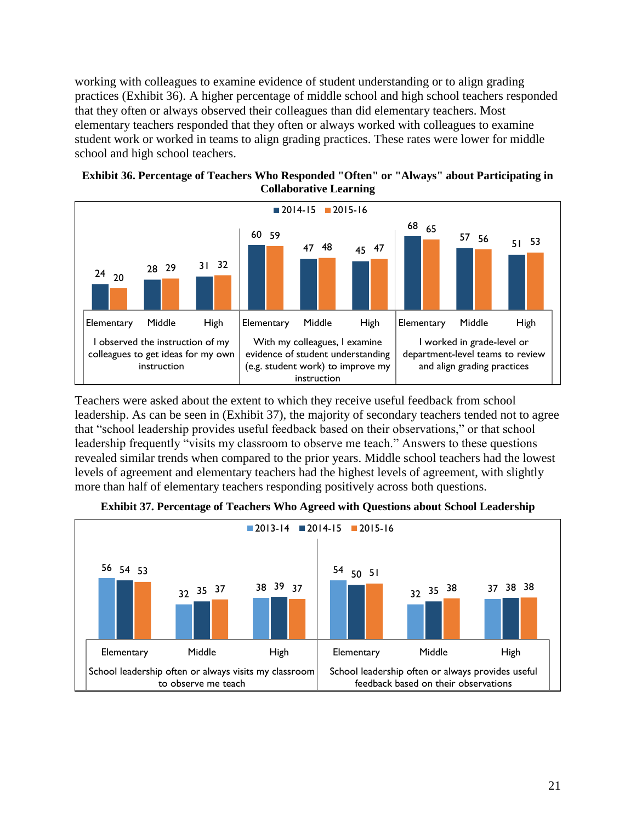working with colleagues to examine evidence of student understanding or to align grading practices [\(Exhibit 36\)](#page-20-0). A higher percentage of middle school and high school teachers responded that they often or always observed their colleagues than did elementary teachers. Most elementary teachers responded that they often or always worked with colleagues to examine student work or worked in teams to align grading practices. These rates were lower for middle school and high school teachers.



<span id="page-20-0"></span>

Teachers were asked about the extent to which they receive useful feedback from school leadership. As can be seen in [\(Exhibit 37\)](#page-20-1), the majority of secondary teachers tended not to agree that "school leadership provides useful feedback based on their observations," or that school leadership frequently "visits my classroom to observe me teach." Answers to these questions revealed similar trends when compared to the prior years. Middle school teachers had the lowest levels of agreement and elementary teachers had the highest levels of agreement, with slightly more than half of elementary teachers responding positively across both questions.

<span id="page-20-1"></span>

**Exhibit 37. Percentage of Teachers Who Agreed with Questions about School Leadership**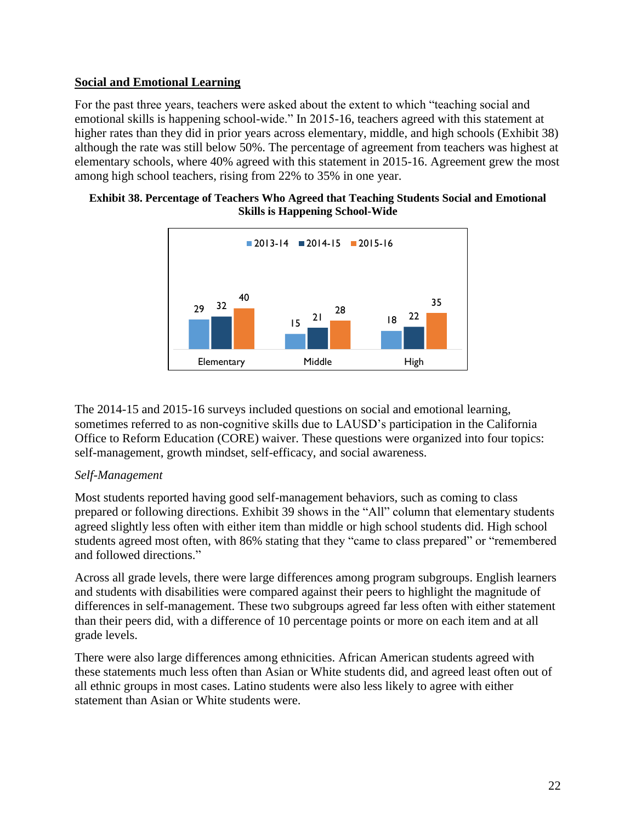## **Social and Emotional Learning**

For the past three years, teachers were asked about the extent to which "teaching social and emotional skills is happening school-wide." In 2015-16, teachers agreed with this statement at higher rates than they did in prior years across elementary, middle, and high schools [\(Exhibit 38\)](#page-21-0) although the rate was still below 50%. The percentage of agreement from teachers was highest at elementary schools, where 40% agreed with this statement in 2015-16. Agreement grew the most among high school teachers, rising from 22% to 35% in one year.

<span id="page-21-0"></span>



The 2014-15 and 2015-16 surveys included questions on social and emotional learning, sometimes referred to as non-cognitive skills due to LAUSD's participation in the California Office to Reform Education (CORE) waiver. These questions were organized into four topics: self-management, growth mindset, self-efficacy, and social awareness.

# *Self-Management*

Most students reported having good self-management behaviors, such as coming to class prepared or following directions. [Exhibit 39](#page-22-0) shows in the "All" column that elementary students agreed slightly less often with either item than middle or high school students did. High school students agreed most often, with 86% stating that they "came to class prepared" or "remembered and followed directions."

Across all grade levels, there were large differences among program subgroups. English learners and students with disabilities were compared against their peers to highlight the magnitude of differences in self-management. These two subgroups agreed far less often with either statement than their peers did, with a difference of 10 percentage points or more on each item and at all grade levels.

There were also large differences among ethnicities. African American students agreed with these statements much less often than Asian or White students did, and agreed least often out of all ethnic groups in most cases. Latino students were also less likely to agree with either statement than Asian or White students were.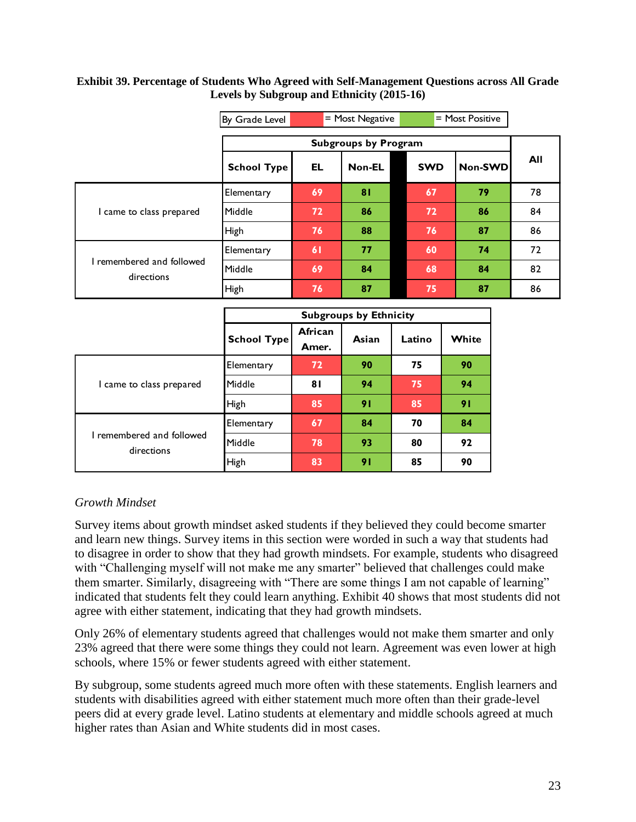#### <span id="page-22-0"></span>**Exhibit 39. Percentage of Students Who Agreed with Self-Management Questions across All Grade Levels by Subgroup and Ethnicity (2015-16)**

|                                         | $=$ Most Positive<br>$=$ Most Negative<br>By Grade Level |    |        |            |         |     |
|-----------------------------------------|----------------------------------------------------------|----|--------|------------|---------|-----|
|                                         | <b>Subgroups by Program</b>                              |    |        |            |         |     |
|                                         | <b>School Type</b>                                       | EL | Non-EL | <b>SWD</b> | Non-SWD | All |
| I came to class prepared                | Elementary                                               | 69 | 81     | 67         | 79      | 78  |
|                                         | Middle                                                   | 72 | 86     | 72         | 86      | 84  |
|                                         | High                                                     | 76 | 88     | 76         | 87      | 86  |
|                                         | Elementary                                               | 61 | 77     | 60         | 74      | 72  |
| I remembered and followed<br>directions | Middle                                                   | 69 | 84     | 68         | 84      | 82  |
|                                         | High                                                     | 76 | 87     | 75         | 87      | 86  |

|                                         | <b>Subgroups by Ethnicity</b> |                  |       |        |       |  |  |
|-----------------------------------------|-------------------------------|------------------|-------|--------|-------|--|--|
|                                         | <b>School Type</b>            | African<br>Amer. | Asian | Latino | White |  |  |
| I came to class prepared                | Elementary                    | 72               | 90    | 75     | 90    |  |  |
|                                         | Middle                        | 81               | 94    | 75     | 94    |  |  |
|                                         | High                          | 85               | 91    | 85     | 91    |  |  |
|                                         | Elementary                    | 67               | 84    | 70     | 84    |  |  |
| I remembered and followed<br>directions | Middle                        | 78               | 93    | 80     | 92    |  |  |
|                                         | High                          | 83               | 91    | 85     | 90    |  |  |

## *Growth Mindset*

Survey items about growth mindset asked students if they believed they could become smarter and learn new things. Survey items in this section were worded in such a way that students had to disagree in order to show that they had growth mindsets. For example, students who disagreed with "Challenging myself will not make me any smarter" believed that challenges could make them smarter. Similarly, disagreeing with "There are some things I am not capable of learning" indicated that students felt they could learn anything. Exhibit 40 shows that most students did not agree with either statement, indicating that they had growth mindsets.

Only 26% of elementary students agreed that challenges would not make them smarter and only 23% agreed that there were some things they could not learn. Agreement was even lower at high schools, where 15% or fewer students agreed with either statement.

By subgroup, some students agreed much more often with these statements. English learners and students with disabilities agreed with either statement much more often than their grade-level peers did at every grade level. Latino students at elementary and middle schools agreed at much higher rates than Asian and White students did in most cases.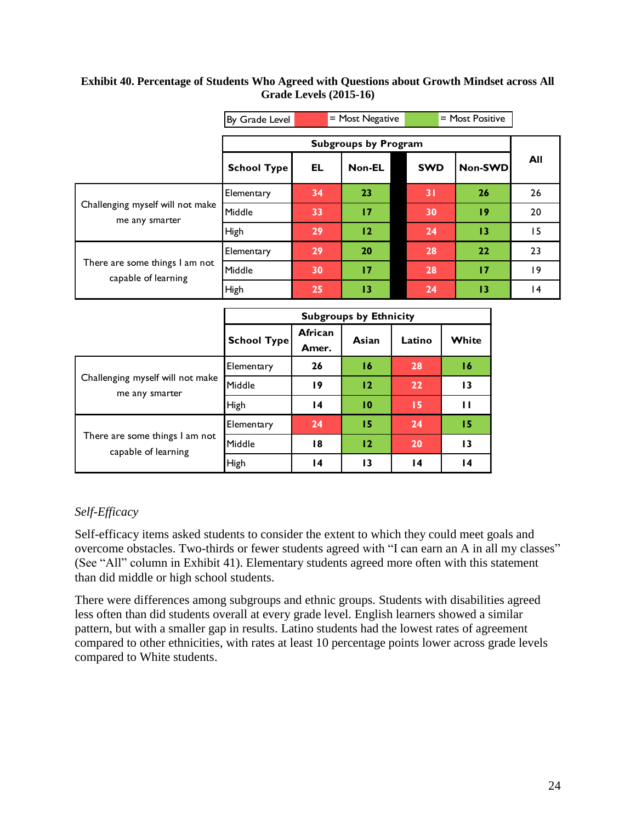#### **Exhibit 40. Percentage of Students Who Agreed with Questions about Growth Mindset across All Grade Levels (2015-16)**

|                                                       | $=$ Most Negative<br>$=$ Most Positive<br>By Grade Level |                             |        |            |         |     |  |
|-------------------------------------------------------|----------------------------------------------------------|-----------------------------|--------|------------|---------|-----|--|
|                                                       |                                                          | <b>Subgroups by Program</b> |        |            |         |     |  |
|                                                       | <b>School Type</b>                                       | EL                          | Non-EL | <b>SWD</b> | Non-SWD | All |  |
| Challenging myself will not make<br>me any smarter    | Elementary                                               | 34                          | 23     | 31         | 26      | 26  |  |
|                                                       | Middle                                                   | 33                          | 17     | 30         | 19      | 20  |  |
|                                                       | High                                                     | 29                          | 12     | 24         | 13      | 15  |  |
|                                                       | Elementary                                               | 29                          | 20     | 28         | 22      | 23  |  |
| There are some things I am not<br>capable of learning | Middle                                                   | 30                          | 17     | 28         | 17      | 19  |  |
|                                                       | High                                                     | 25                          | 13     | 24         | 13      | 4   |  |

|                                                       | <b>Subgroups by Ethnicity</b> |                  |       |        |                 |  |  |
|-------------------------------------------------------|-------------------------------|------------------|-------|--------|-----------------|--|--|
|                                                       | <b>School Type</b>            | African<br>Amer. | Asian | Latino | White           |  |  |
| Challenging myself will not make<br>me any smarter    | Elementary                    | 26               | 16    | 28     | 16              |  |  |
|                                                       | Middle                        | 19               | 12    | 22     | $\overline{13}$ |  |  |
|                                                       | High                          | 14               | 10    | 15     | $\mathbf{H}$    |  |  |
|                                                       | Elementary                    | 24               | 15    | 24     | 15              |  |  |
| There are some things I am not<br>capable of learning | Middle                        | 18               | 12    | 20     | $\overline{13}$ |  |  |
|                                                       | High                          | $\overline{14}$  | 13    | 14     | 14              |  |  |

# *Self-Efficacy*

Self-efficacy items asked students to consider the extent to which they could meet goals and overcome obstacles. Two-thirds or fewer students agreed with "I can earn an A in all my classes" (See "All" column in Exhibit 41). Elementary students agreed more often with this statement than did middle or high school students.

There were differences among subgroups and ethnic groups. Students with disabilities agreed less often than did students overall at every grade level. English learners showed a similar pattern, but with a smaller gap in results. Latino students had the lowest rates of agreement compared to other ethnicities, with rates at least 10 percentage points lower across grade levels compared to White students.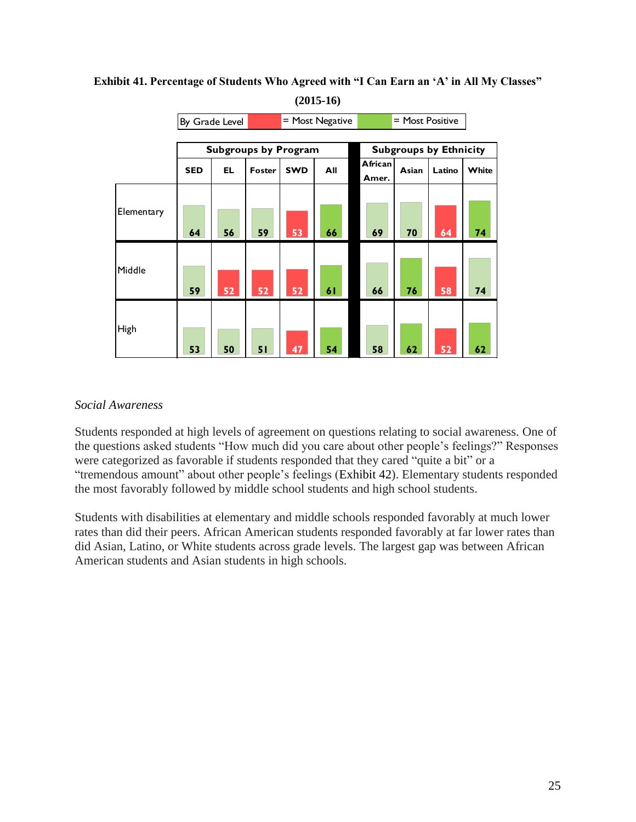|            |            | By Grade Level |                             |            | = Most Negative | $=$ Most Positive |       |                               |       |
|------------|------------|----------------|-----------------------------|------------|-----------------|-------------------|-------|-------------------------------|-------|
|            |            |                |                             |            |                 |                   |       |                               |       |
|            |            |                | <b>Subgroups by Program</b> |            |                 |                   |       | <b>Subgroups by Ethnicity</b> |       |
|            | <b>SED</b> | EL.            | Foster                      | <b>SWD</b> | All             | African<br>Amer.  | Asian | Latino                        | White |
| Elementary | 64         | 56             | 59                          | 53         | 66              | 69                | 70    | 64                            | 74    |
| Middle     | 59         | 52             | 52                          | 52         | 61              | 66                | 76    | 58                            | 74    |
| High       | 53         | 50             | 51                          | 47         | 54              | 58                | 62    | 52                            | 62    |

**Exhibit 41. Percentage of Students Who Agreed with "I Can Earn an 'A' in All My Classes" (2015-16)**

### *Social Awareness*

Students responded at high levels of agreement on questions relating to social awareness. One of the questions asked students "How much did you care about other people's feelings?" Responses were categorized as favorable if students responded that they cared "quite a bit" or a "tremendous amount" about other people's feelings (Exhibit 42). Elementary students responded the most favorably followed by middle school students and high school students.

Students with disabilities at elementary and middle schools responded favorably at much lower rates than did their peers. African American students responded favorably at far lower rates than did Asian, Latino, or White students across grade levels. The largest gap was between African American students and Asian students in high schools.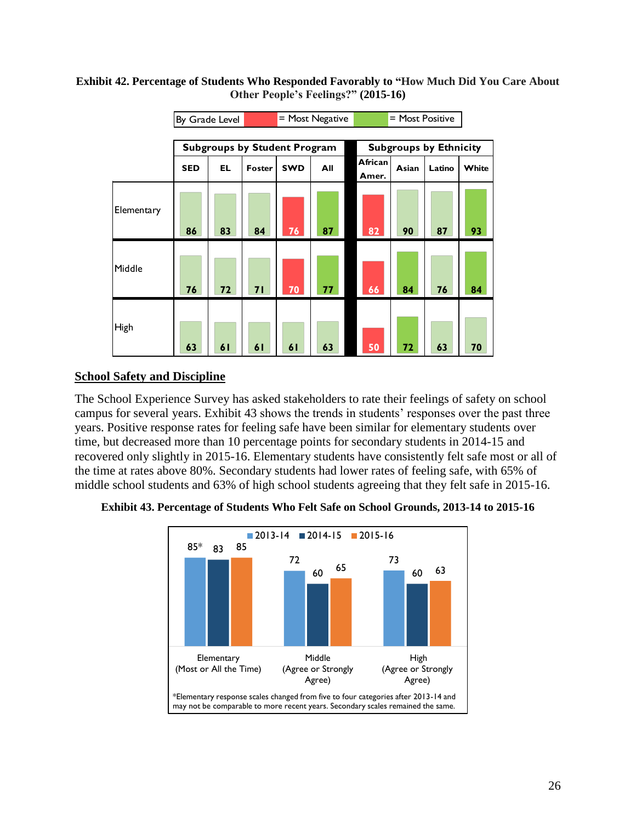#### **Exhibit 42. Percentage of Students Who Responded Favorably to "How Much Did You Care About Other People's Feelings?" (2015-16)**

|             | By Grade Level |     |                                     |            | $=$ Most Negative |                  | = Most Positive               |        |       |  |  |  |
|-------------|----------------|-----|-------------------------------------|------------|-------------------|------------------|-------------------------------|--------|-------|--|--|--|
|             |                |     |                                     |            |                   |                  |                               |        |       |  |  |  |
|             |                |     | <b>Subgroups by Student Program</b> |            |                   |                  | <b>Subgroups by Ethnicity</b> |        |       |  |  |  |
|             | <b>SED</b>     | EL. | Foster                              | <b>SWD</b> | All               | African<br>Amer. | Asian                         | Latino | White |  |  |  |
| Elementary  | 86             | 83  | 84                                  | 76         | 87                | 82               | 90                            | 87     | 93    |  |  |  |
| Middle      | 76             | 72  | 71                                  | 70         | 77                | 66               | 84                            | 76     | 84    |  |  |  |
| <b>High</b> | 63             | 61  | 61                                  | 61         | 63                | 50               | 72                            | 63     | 70    |  |  |  |

## **School Safety and Discipline**

The School Experience Survey has asked stakeholders to rate their feelings of safety on school campus for several years. [Exhibit 43](#page-25-0) shows the trends in students' responses over the past three years. Positive response rates for feeling safe have been similar for elementary students over time, but decreased more than 10 percentage points for secondary students in 2014-15 and recovered only slightly in 2015-16. Elementary students have consistently felt safe most or all of the time at rates above 80%. Secondary students had lower rates of feeling safe, with 65% of middle school students and 63% of high school students agreeing that they felt safe in 2015-16.

<span id="page-25-0"></span>**Exhibit 43. Percentage of Students Who Felt Safe on School Grounds, 2013-14 to 2015-16**

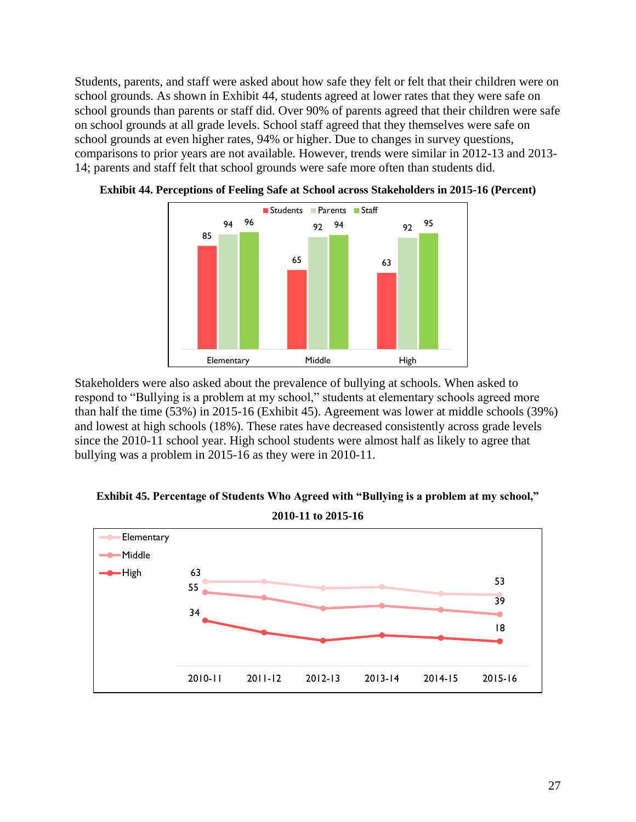Students, parents, and staff were asked about how safe they felt or felt that their children were on school grounds. As shown in [Exhibit 44,](#page-26-0) students agreed at lower rates that they were safe on school grounds than parents or staff did. Over 90% of parents agreed that their children were safe on school grounds at all grade levels. School staff agreed that they themselves were safe on school grounds at even higher rates, 94% or higher. Due to changes in survey questions, comparisons to prior years are not available. However, trends were similar in 2012-13 and 2013- 14; parents and staff felt that school grounds were safe more often than students did.



<span id="page-26-0"></span>

Stakeholders were also asked about the prevalence of bullying at schools. When asked to respond to "Bullying is a problem at my school," students at elementary schools agreed more than half the time (53%) in 2015-16 [\(Exhibit 45\)](#page-26-1). Agreement was lower at middle schools (39%) and lowest at high schools (18%). These rates have decreased consistently across grade levels since the 2010-11 school year. High school students were almost half as likely to agree that bullying was a problem in 2015-16 as they were in 2010-11.

<span id="page-26-1"></span>

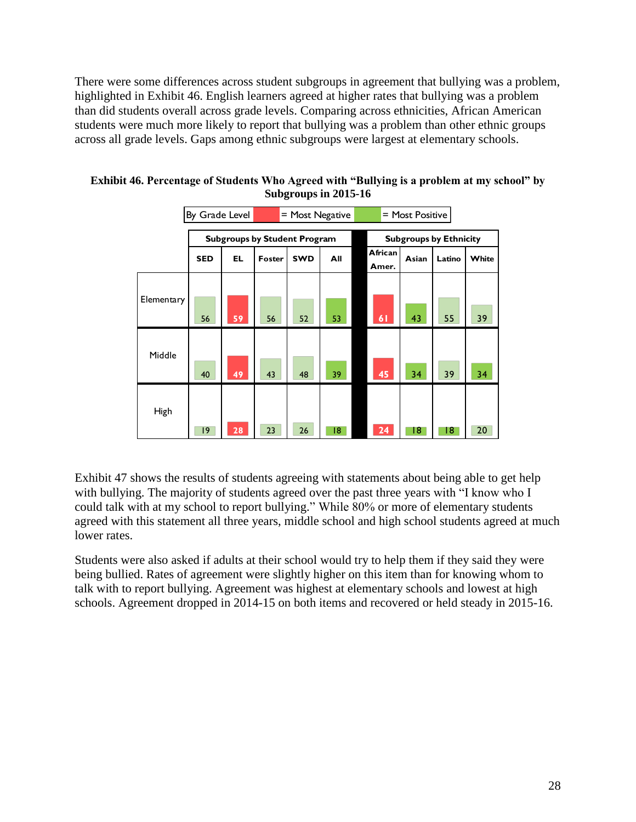There were some differences across student subgroups in agreement that bullying was a problem, highlighted in [Exhibit 46.](#page-27-0) English learners agreed at higher rates that bullying was a problem than did students overall across grade levels. Comparing across ethnicities, African American students were much more likely to report that bullying was a problem than other ethnic groups across all grade levels. Gaps among ethnic subgroups were largest at elementary schools.

|            | By Grade Level |     |                                     | $=$ Most Negative<br>= Most Positive |     |                  |                               |        |       |  |  |  |
|------------|----------------|-----|-------------------------------------|--------------------------------------|-----|------------------|-------------------------------|--------|-------|--|--|--|
|            |                |     | <b>Subgroups by Student Program</b> |                                      |     |                  | <b>Subgroups by Ethnicity</b> |        |       |  |  |  |
|            | <b>SED</b>     | EL. | Foster                              | <b>SWD</b>                           | All | African<br>Amer. | Asian                         | Latino | White |  |  |  |
| Elementary | 56             | 59  | 56                                  | 52                                   | 53  | 61               | 43                            | 55     | 39    |  |  |  |
| Middle     | 40             | 49  | 43                                  | 48                                   | 39  | 45               | 34                            | 39     | 34    |  |  |  |
| High       | $ 9\rangle$    | 28  | 23                                  | 26                                   | 18  | 24               | 18                            | 18.    | 20    |  |  |  |

<span id="page-27-0"></span>**Exhibit 46. Percentage of Students Who Agreed with "Bullying is a problem at my school" by Subgroups in 2015-16**

[Exhibit 47](#page-28-0) shows the results of students agreeing with statements about being able to get help with bullying. The majority of students agreed over the past three years with "I know who I could talk with at my school to report bullying." While 80% or more of elementary students agreed with this statement all three years, middle school and high school students agreed at much lower rates.

Students were also asked if adults at their school would try to help them if they said they were being bullied. Rates of agreement were slightly higher on this item than for knowing whom to talk with to report bullying. Agreement was highest at elementary schools and lowest at high schools. Agreement dropped in 2014-15 on both items and recovered or held steady in 2015-16.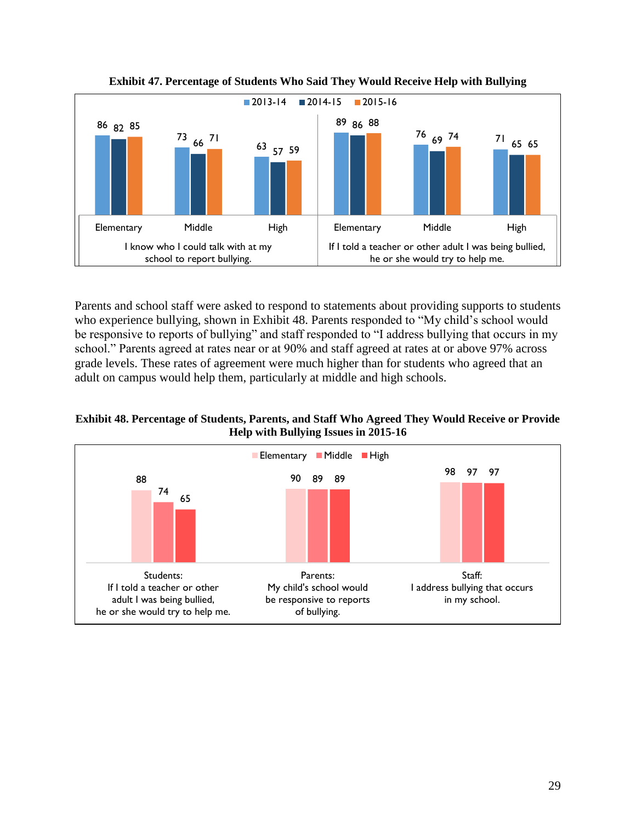<span id="page-28-0"></span>

**Exhibit 47. Percentage of Students Who Said They Would Receive Help with Bullying**

Parents and school staff were asked to respond to statements about providing supports to students who experience bullying, shown in [Exhibit 48.](#page-28-1) Parents responded to "My child's school would be responsive to reports of bullying" and staff responded to "I address bullying that occurs in my school." Parents agreed at rates near or at 90% and staff agreed at rates at or above 97% across grade levels. These rates of agreement were much higher than for students who agreed that an adult on campus would help them, particularly at middle and high schools.

<span id="page-28-1"></span>**Exhibit 48. Percentage of Students, Parents, and Staff Who Agreed They Would Receive or Provide Help with Bullying Issues in 2015-16**

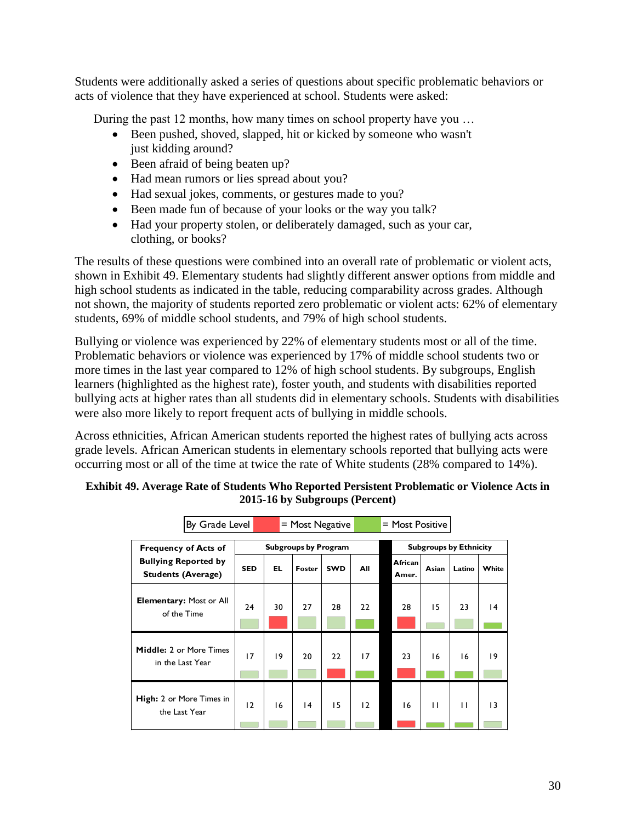Students were additionally asked a series of questions about specific problematic behaviors or acts of violence that they have experienced at school. Students were asked:

During the past 12 months, how many times on school property have you …

- Been pushed, shoved, slapped, hit or kicked by someone who wasn't just kidding around?
- Been afraid of being beaten up?
- Had mean rumors or lies spread about you?
- Had sexual jokes, comments, or gestures made to you?
- Been made fun of because of your looks or the way you talk?
- Had your property stolen, or deliberately damaged, such as your car, clothing, or books?

The results of these questions were combined into an overall rate of problematic or violent acts, shown in [Exhibit 49.](#page-29-0) Elementary students had slightly different answer options from middle and high school students as indicated in the table, reducing comparability across grades. Although not shown, the majority of students reported zero problematic or violent acts: 62% of elementary students, 69% of middle school students, and 79% of high school students.

Bullying or violence was experienced by 22% of elementary students most or all of the time. Problematic behaviors or violence was experienced by 17% of middle school students two or more times in the last year compared to 12% of high school students. By subgroups, English learners (highlighted as the highest rate), foster youth, and students with disabilities reported bullying acts at higher rates than all students did in elementary schools. Students with disabilities were also more likely to report frequent acts of bullying in middle schools.

Across ethnicities, African American students reported the highest rates of bullying acts across grade levels. African American students in elementary schools reported that bullying acts were occurring most or all of the time at twice the rate of White students (28% compared to 14%).

|                                                          | By Grade Level<br>$=$ Most Negative<br>= Most Positive |           |                             |            |     |  |                               |       |        |       |  |
|----------------------------------------------------------|--------------------------------------------------------|-----------|-----------------------------|------------|-----|--|-------------------------------|-------|--------|-------|--|
| <b>Frequency of Acts of</b>                              |                                                        |           | <b>Subgroups by Program</b> |            |     |  | <b>Subgroups by Ethnicity</b> |       |        |       |  |
| <b>Bullying Reported by</b><br><b>Students (Average)</b> | <b>SED</b>                                             | <b>EL</b> | Foster                      | <b>SWD</b> | All |  | African<br>Amer.              | Asian | Latino | White |  |
| <b>Elementary: Most or All</b><br>of the Time            | 24                                                     | 30        | 27                          | 28         | 22  |  | 28                            | 15    | 23     | 14    |  |
| <b>Middle: 2 or More Times</b><br>in the Last Year       | 17                                                     | 19        | 20                          | 22         | 17  |  | 23                            | 16    | 16     | 19    |  |
| High: 2 or More Times in<br>the Last Year                | 12                                                     | 16        | 4                           | 15         | 12  |  | 16                            | П     | п      | 13    |  |

### <span id="page-29-0"></span>**Exhibit 49. Average Rate of Students Who Reported Persistent Problematic or Violence Acts in 2015-16 by Subgroups (Percent)**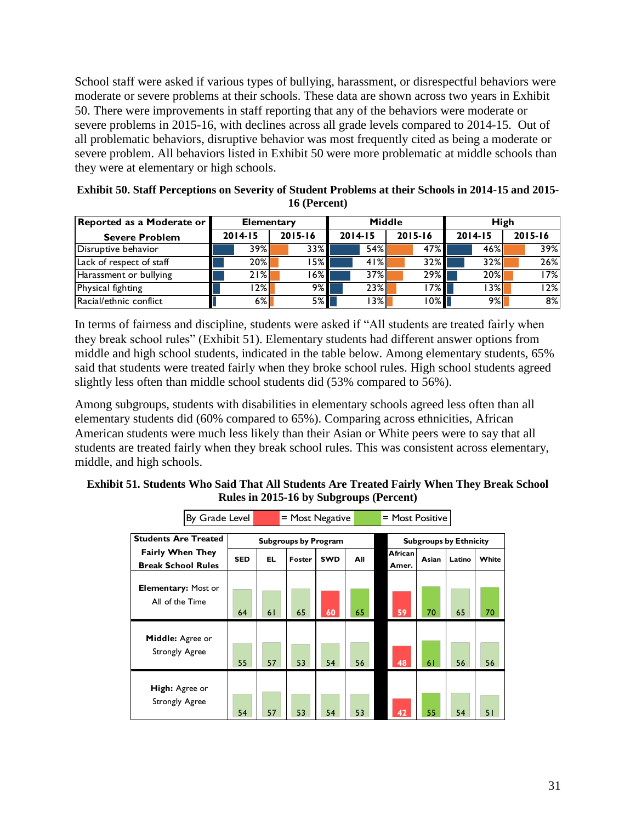School staff were asked if various types of bullying, harassment, or disrespectful behaviors were moderate or severe problems at their schools. These data are shown across two years in [Exhibit](#page-30-0)  [50.](#page-30-0) There were improvements in staff reporting that any of the behaviors were moderate or severe problems in 2015-16, with declines across all grade levels compared to 2014-15. Out of all problematic behaviors, disruptive behavior was most frequently cited as being a moderate or severe problem. All behaviors listed in [Exhibit 50](#page-30-0) were more problematic at middle schools than they were at elementary or high schools.

<span id="page-30-0"></span>

| Exhibit 50. Staff Perceptions on Severity of Student Problems at their Schools in 2014-15 and 2015- |
|-----------------------------------------------------------------------------------------------------|
| 16 (Percent)                                                                                        |

| Reported as a Moderate or | <b>Elementary</b> |             |             | Middle      | High        |         |  |  |
|---------------------------|-------------------|-------------|-------------|-------------|-------------|---------|--|--|
| <b>Severe Problem</b>     | $2014 - 15$       | $2015 - 16$ | $2014 - 15$ | $2015 - 16$ | $2014 - 15$ | 2015-16 |  |  |
| Disruptive behavior       | 39%               | 33%         | 54%         | 47%         | 46%         | 39%l    |  |  |
| Lack of respect of staff  | 20%               | 15% I       | 41%         | $32\%$      | 32%         | 26%     |  |  |
| Harassment or bullying    | 21%               | l 6% l      | 37%         | 29%         | 20%         | l 7% l  |  |  |
| Physical fighting         | $ 2\% $           | $9\%$       | 23%         | $17\%$      | I 3% I      | l 2% l  |  |  |
| Racial/ethnic conflict    | $6\%$             | $5\%$       | 3%          | 10%         | $9\%$       | 8%      |  |  |
|                           |                   |             |             |             |             |         |  |  |

In terms of fairness and discipline, students were asked if "All students are treated fairly when they break school rules" [\(Exhibit 51\)](#page-30-1). Elementary students had different answer options from middle and high school students, indicated in the table below. Among elementary students, 65% said that students were treated fairly when they broke school rules. High school students agreed slightly less often than middle school students did (53% compared to 56%).

Among subgroups, students with disabilities in elementary schools agreed less often than all elementary students did (60% compared to 65%). Comparing across ethnicities, African American students were much less likely than their Asian or White peers were to say that all students are treated fairly when they break school rules. This was consistent across elementary, middle, and high schools.

<span id="page-30-1"></span>

| Exhibit 51. Students Who Said That All Students Are Treated Fairly When They Break School |  |                                         |  |
|-------------------------------------------------------------------------------------------|--|-----------------------------------------|--|
|                                                                                           |  | Rules in 2015-16 by Subgroups (Percent) |  |

|                                                  | By Grade Level |            | $=$ Most Negative<br>$=$ Most Positive |                             |            |     |         |                               |        |       |  |  |
|--------------------------------------------------|----------------|------------|----------------------------------------|-----------------------------|------------|-----|---------|-------------------------------|--------|-------|--|--|
| <b>Students Are Treated</b>                      |                |            |                                        | <b>Subgroups by Program</b> |            |     |         | <b>Subgroups by Ethnicity</b> |        |       |  |  |
| <b>Fairly When They</b>                          |                | <b>SED</b> | EL                                     | Foster                      | <b>SWD</b> | All | African | Asian                         | Latino | White |  |  |
| <b>Break School Rules</b>                        |                |            |                                        |                             |            |     | Amer.   |                               |        |       |  |  |
| <b>Elementary: Most or</b><br>All of the Time    |                | 64         | 61                                     | 65                          | 60         | 65  | 59      | 70                            | 65     | 70    |  |  |
| <b>Middle:</b> Agree or<br><b>Strongly Agree</b> |                | 55         | 57                                     | 53                          | 54         | 56  | 48      | 61                            | 56     | 56    |  |  |
| High: Agree or<br><b>Strongly Agree</b>          |                | 54         | 57                                     | 53                          | 54         | 53  | 42      | 55                            | 54     | 51    |  |  |